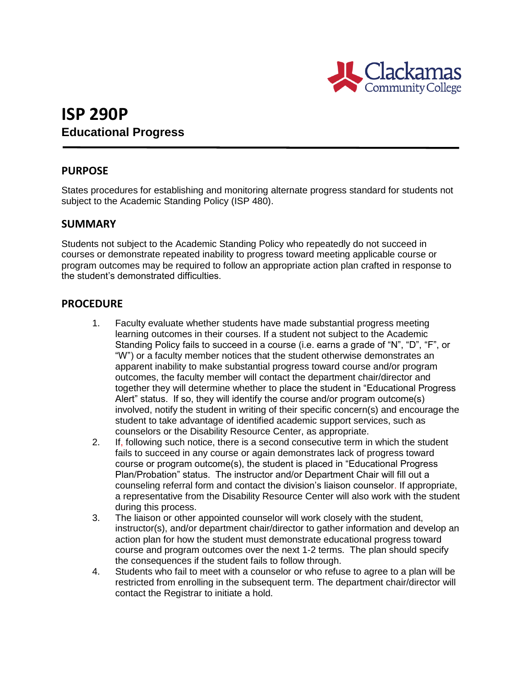

# **ISP 290P Educational Progress**

### **PURPOSE**

States procedures for establishing and monitoring alternate progress standard for students not subject to the Academic Standing Policy (ISP 480).

### **SUMMARY**

Students not subject to the Academic Standing Policy who repeatedly do not succeed in courses or demonstrate repeated inability to progress toward meeting applicable course or program outcomes may be required to follow an appropriate action plan crafted in response to the student's demonstrated difficulties.

#### **PROCEDURE**

- 1. Faculty evaluate whether students have made substantial progress meeting learning outcomes in their courses. If a student not subject to the Academic Standing Policy fails to succeed in a course (i.e. earns a grade of "N", "D", "F", or "W") or a faculty member notices that the student otherwise demonstrates an apparent inability to make substantial progress toward course and/or program outcomes, the faculty member will contact the department chair/director and together they will determine whether to place the student in "Educational Progress Alert" status. If so, they will identify the course and/or program outcome(s) involved, notify the student in writing of their specific concern(s) and encourage the student to take advantage of identified academic support services, such as counselors or the Disability Resource Center, as appropriate.
- 2. If, following such notice, there is a second consecutive term in which the student fails to succeed in any course or again demonstrates lack of progress toward course or program outcome(s), the student is placed in "Educational Progress Plan/Probation" status. The instructor and/or Department Chair will fill out a counseling referral form and contact the division's liaison counselor. If appropriate, a representative from the Disability Resource Center will also work with the student during this process.
- 3. The liaison or other appointed counselor will work closely with the student, instructor(s), and/or department chair/director to gather information and develop an action plan for how the student must demonstrate educational progress toward course and program outcomes over the next 1-2 terms. The plan should specify the consequences if the student fails to follow through.
- 4. Students who fail to meet with a counselor or who refuse to agree to a plan will be restricted from enrolling in the subsequent term. The department chair/director will contact the Registrar to initiate a hold.